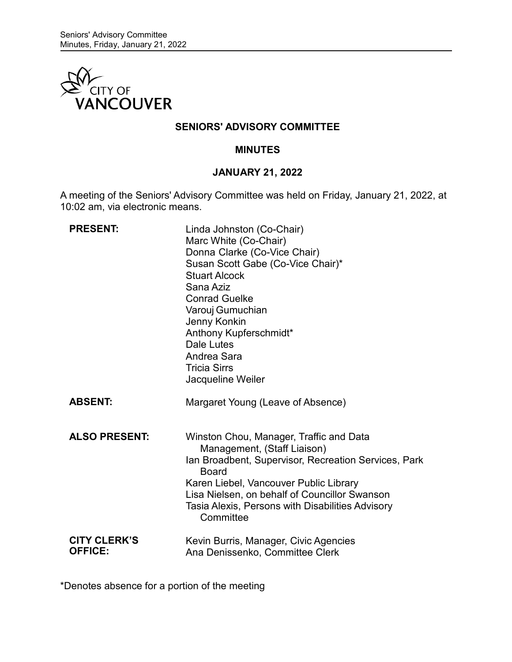

## **SENIORS' ADVISORY COMMITTEE**

### **MINUTES**

## **JANUARY 21, 2022**

A meeting of the Seniors' Advisory Committee was held on Friday, January 21, 2022, at 10:02 am, via electronic means.

| <b>PRESENT:</b>                       | Linda Johnston (Co-Chair)<br>Marc White (Co-Chair)<br>Donna Clarke (Co-Vice Chair)<br>Susan Scott Gabe (Co-Vice Chair)*<br><b>Stuart Alcock</b><br>Sana Aziz<br><b>Conrad Guelke</b><br>Varouj Gumuchian<br>Jenny Konkin<br>Anthony Kupferschmidt*<br>Dale Lutes<br>Andrea Sara<br><b>Tricia Sirrs</b><br>Jacqueline Weiler |
|---------------------------------------|-----------------------------------------------------------------------------------------------------------------------------------------------------------------------------------------------------------------------------------------------------------------------------------------------------------------------------|
| <b>ABSENT:</b>                        | Margaret Young (Leave of Absence)                                                                                                                                                                                                                                                                                           |
| <b>ALSO PRESENT:</b>                  | Winston Chou, Manager, Traffic and Data<br>Management, (Staff Liaison)<br>Ian Broadbent, Supervisor, Recreation Services, Park<br><b>Board</b><br>Karen Liebel, Vancouver Public Library<br>Lisa Nielsen, on behalf of Councillor Swanson<br>Tasia Alexis, Persons with Disabilities Advisory<br>Committee                  |
| <b>CITY CLERK'S</b><br><b>OFFICE:</b> | Kevin Burris, Manager, Civic Agencies<br>Ana Denissenko, Committee Clerk                                                                                                                                                                                                                                                    |

\*Denotes absence for a portion of the meeting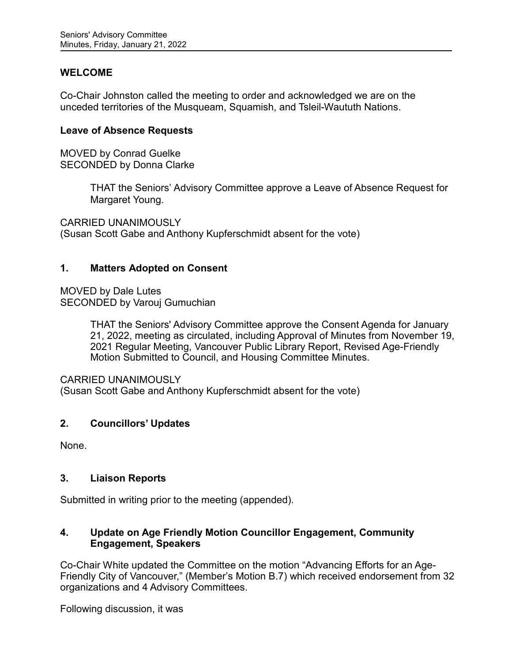## **WELCOME**

Co-Chair Johnston called the meeting to order and acknowledged we are on the unceded territories of the Musqueam, Squamish, and Tsleil-Waututh Nations.

### **Leave of Absence Requests**

MOVED by Conrad Guelke SECONDED by Donna Clarke

> THAT the Seniors' Advisory Committee approve a Leave of Absence Request for Margaret Young.

CARRIED UNANIMOUSLY (Susan Scott Gabe and Anthony Kupferschmidt absent for the vote)

## **1. Matters Adopted on Consent**

MOVED by Dale Lutes SECONDED by Varouj Gumuchian

> THAT the Seniors' Advisory Committee approve the Consent Agenda for January 21, 2022, meeting as circulated, including Approval of Minutes from November 19, 2021 Regular Meeting, Vancouver Public Library Report, Revised Age-Friendly Motion Submitted to Council, and Housing Committee Minutes.

CARRIED UNANIMOUSLY

(Susan Scott Gabe and Anthony Kupferschmidt absent for the vote)

## **2. Councillors' Updates**

None.

## **3. Liaison Reports**

Submitted in writing prior to the meeting (appended).

## **4. Update on Age Friendly Motion Councillor Engagement, Community Engagement, Speakers**

Co-Chair White updated the Committee on the motion "Advancing Efforts for an Age-Friendly City of Vancouver," (Member's Motion B.7) which received endorsement from 32 organizations and 4 Advisory Committees.

Following discussion, it was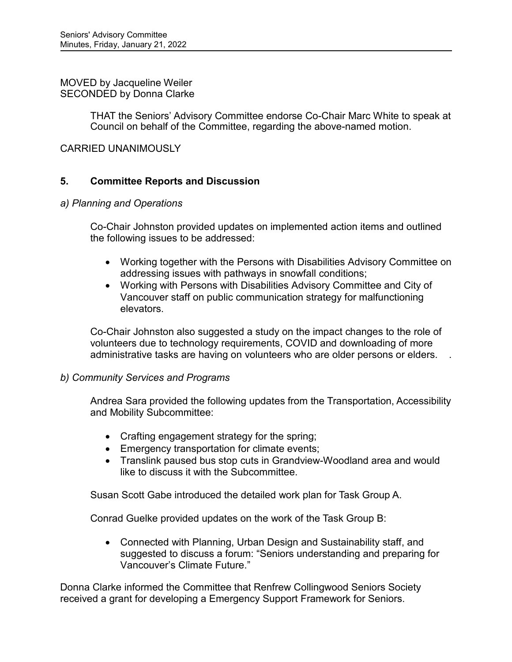#### MOVED by Jacqueline Weiler SECONDED by Donna Clarke

THAT the Seniors' Advisory Committee endorse Co-Chair Marc White to speak at Council on behalf of the Committee, regarding the above-named motion.

## CARRIED UNANIMOUSLY

## **5. Committee Reports and Discussion**

### *a) Planning and Operations*

Co-Chair Johnston provided updates on implemented action items and outlined the following issues to be addressed:

- Working together with the Persons with Disabilities Advisory Committee on addressing issues with pathways in snowfall conditions;
- Working with Persons with Disabilities Advisory Committee and City of Vancouver staff on public communication strategy for malfunctioning elevators.

Co-Chair Johnston also suggested a study on the impact changes to the role of volunteers due to technology requirements, COVID and downloading of more administrative tasks are having on volunteers who are older persons or elders. .

## *b) Community Services and Programs*

Andrea Sara provided the following updates from the Transportation, Accessibility and Mobility Subcommittee:

- Crafting engagement strategy for the spring;
- Emergency transportation for climate events;
- Translink paused bus stop cuts in Grandview-Woodland area and would like to discuss it with the Subcommittee.

Susan Scott Gabe introduced the detailed work plan for Task Group A.

Conrad Guelke provided updates on the work of the Task Group B:

• Connected with Planning, Urban Design and Sustainability staff, and suggested to discuss a forum: "Seniors understanding and preparing for Vancouver's Climate Future."

Donna Clarke informed the Committee that Renfrew Collingwood Seniors Society received a grant for developing a Emergency Support Framework for Seniors.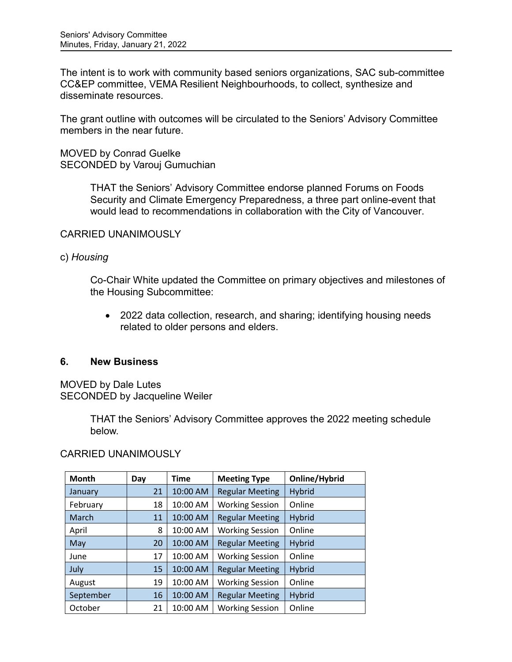The intent is to work with community based seniors organizations, SAC sub-committee CC&EP committee, VEMA Resilient Neighbourhoods, to collect, synthesize and disseminate resources.

The grant outline with outcomes will be circulated to the Seniors' Advisory Committee members in the near future.

## MOVED by Conrad Guelke SECONDED by Varouj Gumuchian

THAT the Seniors' Advisory Committee endorse planned Forums on Foods Security and Climate Emergency Preparedness, a three part online-event that would lead to recommendations in collaboration with the City of Vancouver.

## CARRIED UNANIMOUSLY

## c) *Housing*

Co-Chair White updated the Committee on primary objectives and milestones of the Housing Subcommittee:

• 2022 data collection, research, and sharing; identifying housing needs related to older persons and elders.

## **6. New Business**

MOVED by Dale Lutes SECONDED by Jacqueline Weiler

> THAT the Seniors' Advisory Committee approves the 2022 meeting schedule below.

## CARRIED UNANIMOUSLY

| <b>Month</b> | Day | Time     | <b>Meeting Type</b>    | Online/Hybrid |
|--------------|-----|----------|------------------------|---------------|
| January      | 21  | 10:00 AM | <b>Regular Meeting</b> | Hybrid        |
| February     | 18  | 10:00 AM | <b>Working Session</b> | Online        |
| March        | 11  | 10:00 AM | <b>Regular Meeting</b> | Hybrid        |
| April        | 8   | 10:00 AM | <b>Working Session</b> | Online        |
| May          | 20  | 10:00 AM | <b>Regular Meeting</b> | Hybrid        |
| June         | 17  | 10:00 AM | <b>Working Session</b> | Online        |
| July         | 15  | 10:00 AM | <b>Regular Meeting</b> | Hybrid        |
| August       | 19  | 10:00 AM | <b>Working Session</b> | Online        |
| September    | 16  | 10:00 AM | <b>Regular Meeting</b> | <b>Hybrid</b> |
| October      | 21  | 10:00 AM | <b>Working Session</b> | Online        |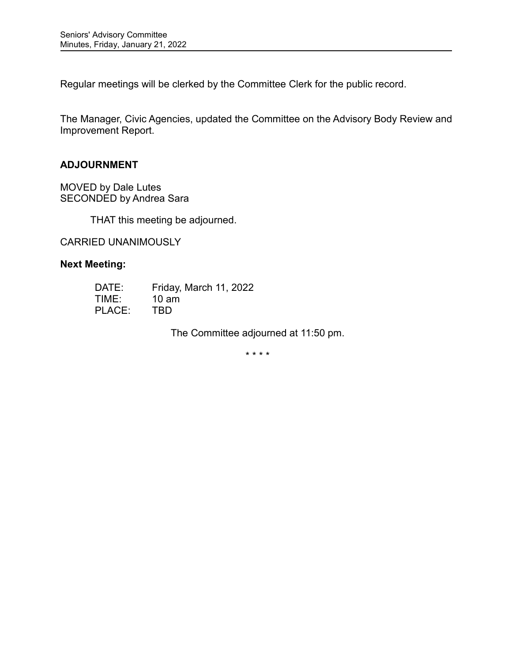Regular meetings will be clerked by the Committee Clerk for the public record.

The Manager, Civic Agencies, updated the Committee on the Advisory Body Review and Improvement Report.

### **ADJOURNMENT**

MOVED by Dale Lutes SECONDED by Andrea Sara

THAT this meeting be adjourned.

CARRIED UNANIMOUSLY

## **Next Meeting:**

| DATE:  | Friday, March 11, 2022 |
|--------|------------------------|
| TIME:  | $10 \text{ am}$        |
| PLACE: | TBD.                   |

The Committee adjourned at 11:50 pm.

\* \* \* \*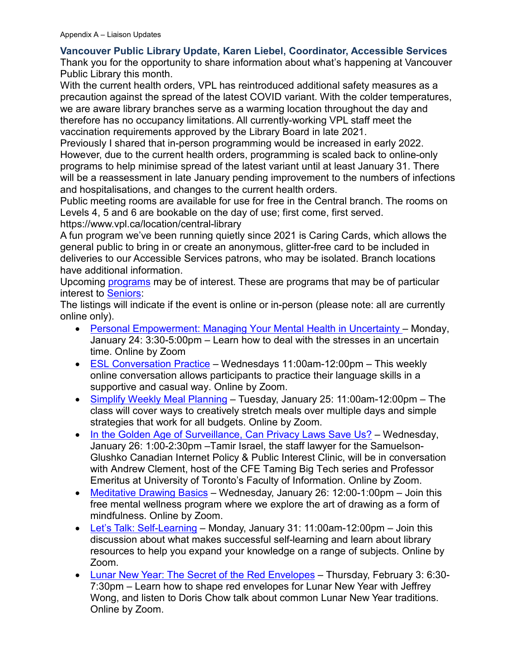# **Vancouver Public Library Update, Karen Liebel, Coordinator, Accessible Services**

Thank you for the opportunity to share information about what's happening at Vancouver Public Library this month.

With the current health orders, VPL has reintroduced additional safety measures as a precaution against the spread of the latest COVID variant. With the colder temperatures, we are aware library branches serve as a warming location throughout the day and therefore has no occupancy limitations. All currently-working VPL staff meet the vaccination requirements approved by the Library Board in late 2021.

Previously I shared that in-person programming would be increased in early 2022. However, due to the current health orders, programming is scaled back to online-only programs to help minimise spread of the latest variant until at least January 31. There will be a reassessment in late January pending improvement to the numbers of infections and hospitalisations, and changes to the current health orders.

Public meeting rooms are available for use for free in the Central branch. The rooms on Levels 4, 5 and 6 are bookable on the day of use; first come, first served.

https://www.vpl.ca/location/central-library

A fun program we've been running quietly since 2021 is Caring Cards, which allows the general public to bring in or create an anonymous, glitter-free card to be included in deliveries to our Accessible Services patrons, who may be isolated. Branch locations have additional information.

Upcoming [programs](https://vpl.bibliocommons.com/events/search/index) may be of interest. These are programs that may be of particular interest to [Seniors:](https://vpl.bibliocommons.com/events/search/fq=audiences:(53c940484246f6147c000013))

The listings will indicate if the event is online or in-person (please note: all are currently online only).

- [Personal Empowerment: Managing Your](https://vpl.bibliocommons.com/events/61d510b566e3c03600e6e72f) Mental Health in Uncertainty Monday, January 24: 3:30-5:00pm – Learn how to deal with the stresses in an uncertain time. Online by Zoom
- [ESL Conversation Practice](https://vpl.bibliocommons.com/events/61b920f933f5d02800a2edeb) Wednesdays  $11:00$ am- $12:00$ pm This weekly online conversation allows participants to practice their language skills in a supportive and casual way. Online by Zoom.
- [Simplify Weekly Meal Planning](https://vpl.bibliocommons.com/events/61bb81cb3148572f005527b0) Tuesday, January 25: 11:00am-12:00pm The class will cover ways to creatively stretch meals over multiple days and simple strategies that work for all budgets. Online by Zoom.
- [In the Golden Age of Surveillance, Can Privacy Laws Save Us?](https://vpl.bibliocommons.com/events/61ccd4e53148572f00568d5c) Wednesday, January 26: 1:00-2:30pm –Tamir Israel, the staff lawyer for the Samuelson-Glushko Canadian Internet Policy & Public Interest Clinic, will be in conversation with Andrew Clement, host of the CFE Taming Big Tech series and Professor Emeritus at University of Toronto's Faculty of Information. Online by Zoom.
- [Meditative Drawing Basics](https://vpl.bibliocommons.com/events/61c240e58a5e404100b752fc) Wednesday, January 26: 12:00-1:00pm Join this free mental wellness program where we explore the art of drawing as a form of mindfulness. Online by Zoom.
- [Let's Talk: Self-Learning](https://vpl.bibliocommons.com/events/61b93b2b8a5e404100b69d80) Monday, January 31: 11:00am-12:00pm Join this discussion about what makes successful self-learning and learn about library resources to help you expand your knowledge on a range of subjects. Online by Zoom.
- [Lunar New Year: The Secret of the Red Envelopes](https://vpl.bibliocommons.com/events/61d8971b66e3c03600e73b46) Thursday, February 3: 6:30- 7:30pm – Learn how to shape red envelopes for Lunar New Year with Jeffrey Wong, and listen to Doris Chow talk about common Lunar New Year traditions. Online by Zoom.